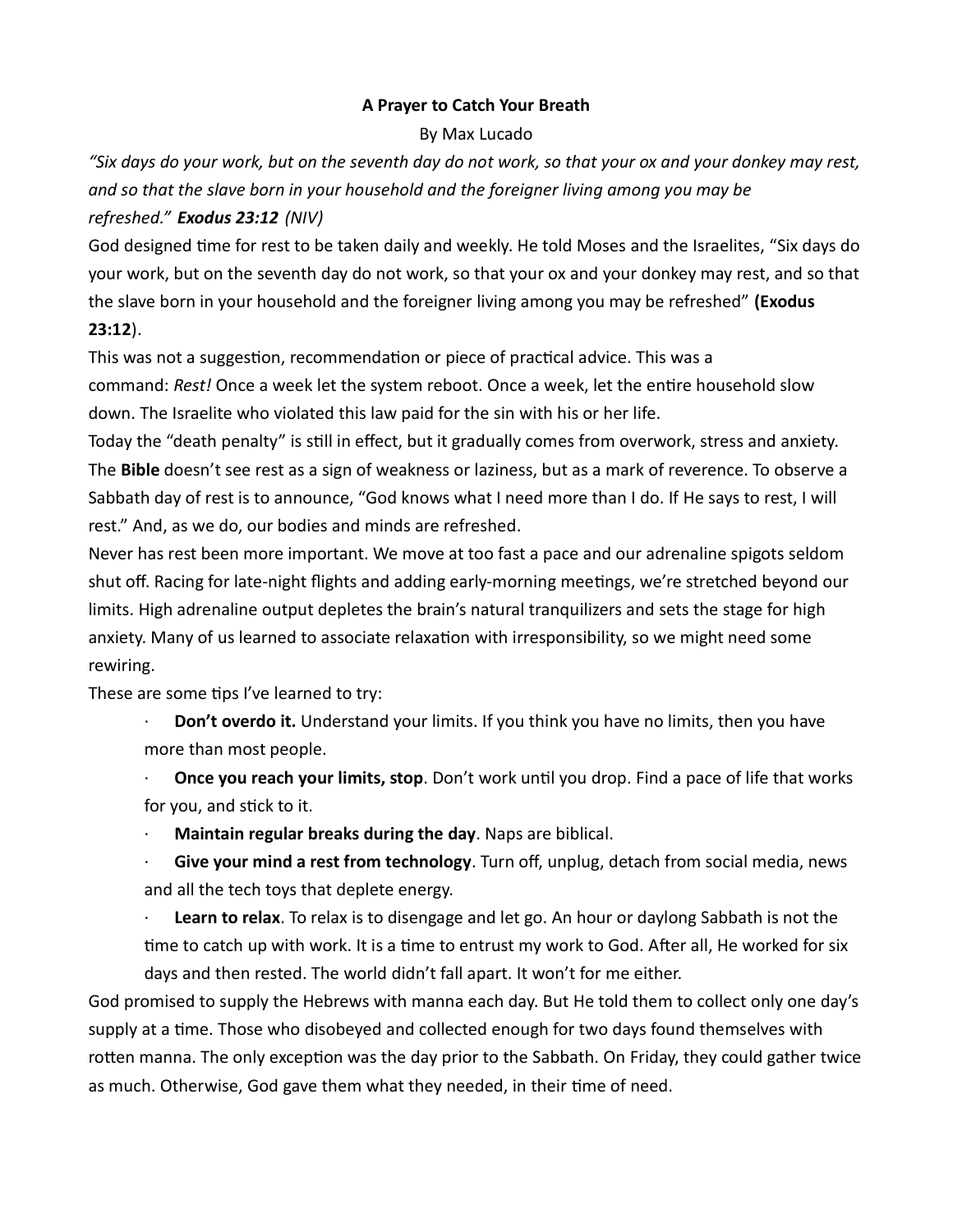## A Prayer to Catch Your Breath

## By Max Lucado

"Six days do your work, but on the seventh day do not work, so that your ox and your donkey may rest, and so that the slave born in your household and the foreigner living among you may be refreshed." Exodus 23:12 (NIV)

God designed time for rest to be taken daily and weekly. He told Moses and the Israelites, "Six days do your work, but on the seventh day do not work, so that your ox and your donkey may rest, and so that the slave born in your household and the foreigner living among you may be refreshed" (Exodus 23:12).

This was not a suggestion, recommendation or piece of practical advice. This was a command: Rest! Once a week let the system reboot. Once a week, let the entire household slow down. The Israelite who violated this law paid for the sin with his or her life.

Today the "death penalty" is still in effect, but it gradually comes from overwork, stress and anxiety. The Bible doesn't see rest as a sign of weakness or laziness, but as a mark of reverence. To observe a Sabbath day of rest is to announce, "God knows what I need more than I do. If He says to rest, I will rest." And, as we do, our bodies and minds are refreshed.

Never has rest been more important. We move at too fast a pace and our adrenaline spigots seldom shut off. Racing for late-night flights and adding early-morning meetings, we're stretched beyond our limits. High adrenaline output depletes the brain's natural tranquilizers and sets the stage for high anxiety. Many of us learned to associate relaxation with irresponsibility, so we might need some rewiring.

These are some tips I've learned to try:

- **Don't overdo it.** Understand your limits. If you think you have no limits, then you have more than most people.
- Once you reach your limits, stop. Don't work until you drop. Find a pace of life that works for you, and stick to it.
- Maintain regular breaks during the day. Naps are biblical.
- Give your mind a rest from technology. Turn off, unplug, detach from social media, news and all the tech toys that deplete energy.

Learn to relax. To relax is to disengage and let go. An hour or daylong Sabbath is not the time to catch up with work. It is a time to entrust my work to God. After all, He worked for six days and then rested. The world didn't fall apart. It won't for me either.

God promised to supply the Hebrews with manna each day. But He told them to collect only one day's supply at a time. Those who disobeyed and collected enough for two days found themselves with rotten manna. The only exception was the day prior to the Sabbath. On Friday, they could gather twice as much. Otherwise, God gave them what they needed, in their time of need.